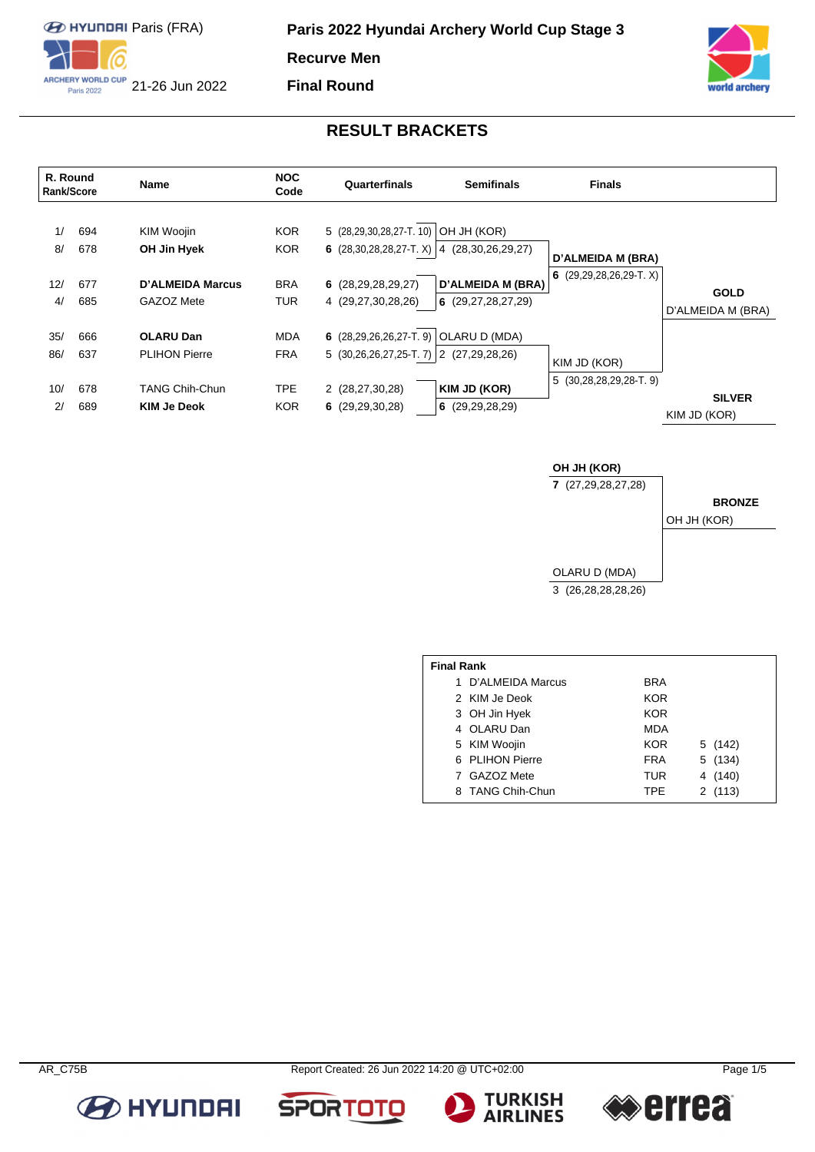

**Final Round**



**BRONZE**

### **RESULT BRACKETS**

| R. Round<br><b>Rank/Score</b> |                          | <b>Name</b>                                                                             | <b>NOC</b><br>Code                                   | Quarterfinals                                                                                                             | <b>Semifinals</b>                                                   | <b>Finals</b>                                                  |                                  |
|-------------------------------|--------------------------|-----------------------------------------------------------------------------------------|------------------------------------------------------|---------------------------------------------------------------------------------------------------------------------------|---------------------------------------------------------------------|----------------------------------------------------------------|----------------------------------|
| 1/<br>8/<br>12/<br>4/         | 694<br>678<br>677<br>685 | <b>KIM Woojin</b><br>OH Jin Hyek<br>D'ALMEIDA Marcus<br>GAZOZ Mete                      | <b>KOR</b><br><b>KOR</b><br><b>BRA</b><br><b>TUR</b> | 5 (28,29,30,28,27-T. 10)<br>6 $(28,30,28,28,27-T. X)$ 4 $(28,30,26,29,27)$<br>6(28, 29, 28, 29, 27)<br>4 (29,27,30,28,26) | OH JH (KOR)<br><b>D'ALMEIDA M (BRA)</b><br>6 $(29, 27, 28, 27, 29)$ | <b>D'ALMEIDA M (BRA)</b><br>$(29, 29, 28, 26, 29 - T, X)$<br>6 | <b>GOLD</b><br>D'ALMEIDA M (BRA) |
| 35/<br>86/<br>10/<br>2/       | 666<br>637<br>678<br>689 | <b>OLARU Dan</b><br><b>PLIHON Pierre</b><br><b>TANG Chih-Chun</b><br><b>KIM Je Deok</b> | <b>MDA</b><br><b>FRA</b><br><b>TPE</b><br><b>KOR</b> | 6 $(28, 29, 26, 26, 27 - T, 9)$<br>5 $(30,26,26,27,25-T.7)$ 2 $(27,29,28,26)$<br>2 (28,27,30,28)<br>6 $(29, 29, 30, 28)$  | OLARU D (MDA)<br>KIM JD (KOR)<br>6 $(29, 29, 28, 29)$               | KIM JD (KOR)<br>$5(30, 28, 28, 29, 28 - T, 9)$                 | <b>SILVER</b><br>KIM JD (KOR)    |

**OH JH (KOR) 7** (27,29,28,27,28) OLARU D (MDA) 3 (26,28,28,28,26) OH JH (KOR)

| <b>Final Rank</b> |                    |            |            |  |  |  |  |  |  |
|-------------------|--------------------|------------|------------|--|--|--|--|--|--|
|                   | 1 D'ALMEIDA Marcus | BRA        |            |  |  |  |  |  |  |
|                   | 2 KIM Je Deok      | KOR        |            |  |  |  |  |  |  |
|                   | 3 OH Jin Hyek      | <b>KOR</b> |            |  |  |  |  |  |  |
|                   | 4 OLARU Dan        | <b>MDA</b> |            |  |  |  |  |  |  |
|                   | 5 KIM Woojin       | <b>KOR</b> | 5 (142)    |  |  |  |  |  |  |
|                   | 6 PLIHON Pierre    | <b>FRA</b> | 5 (134)    |  |  |  |  |  |  |
|                   | 7 GAZOZ Mete       | <b>TUR</b> | (140)<br>4 |  |  |  |  |  |  |
|                   | 8 TANG Chih-Chun   | <b>TPF</b> | 2(113)     |  |  |  |  |  |  |



**TURKISH<br>AIRLINES** 







**SPOR** 

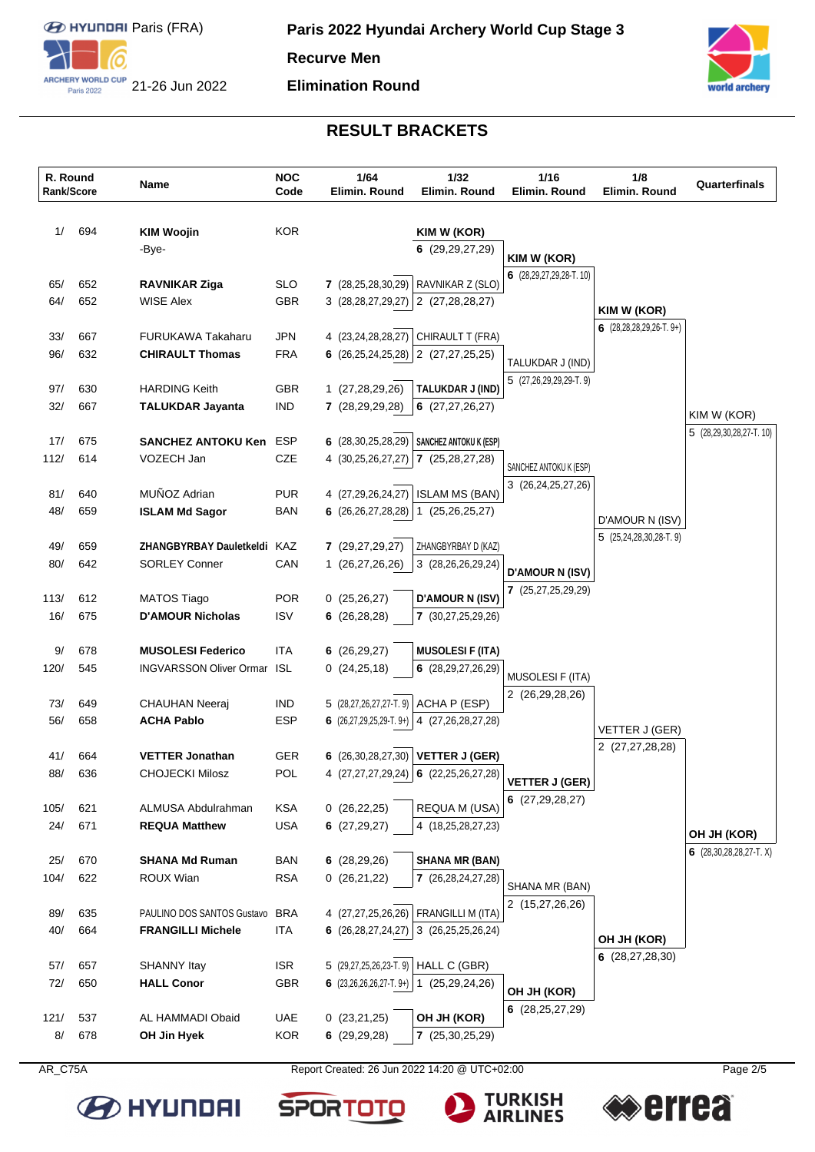

### **Elimination Round**



# **RESULT BRACKETS**

| R. Round<br>Rank/Score |     | Name                               | <b>NOC</b><br>Code | 1/64<br>Elimin. Round     | 1/32<br>Elimin. Round                             | 1/16<br>Elimin. Round               | 1/8<br>Elimin. Round                | Quarterfinals                                  |
|------------------------|-----|------------------------------------|--------------------|---------------------------|---------------------------------------------------|-------------------------------------|-------------------------------------|------------------------------------------------|
| 1/                     | 694 | <b>KIM Woojin</b><br>-Bye-         | <b>KOR</b>         |                           | KIM W (KOR)<br>6(29, 29, 27, 29)                  | KIM W (KOR)                         |                                     |                                                |
| 65/                    | 652 | <b>RAVNIKAR Ziga</b>               | <b>SLO</b>         | 7(28,25,28,30,29)         | RAVNIKAR Z (SLO)                                  | 6 (28,29,27,29,28-T. 10)            |                                     |                                                |
| 64/                    | 652 | <b>WISE Alex</b>                   | <b>GBR</b>         | 3(28, 28, 27, 29, 27)     | 2 (27,28,28,27)                                   |                                     | KIM W (KOR)                         |                                                |
| 33/                    | 667 | <b>FURUKAWA Takaharu</b>           | <b>JPN</b>         | 4 (23,24,28,28,27)        | CHIRAULT T (FRA)                                  |                                     | 6 $(28, 28, 28, 29, 26 - T, 9+)$    |                                                |
| 96/                    | 632 | <b>CHIRAULT Thomas</b>             | <b>FRA</b>         | 6 $(26, 25, 24, 25, 28)$  | 2 (27,27,25,25)                                   | TALUKDAR J (IND)                    |                                     |                                                |
| 97/                    | 630 | <b>HARDING Keith</b>               | GBR                | 1 (27,28,29,26)           | TALUKDAR J (IND)                                  | 5 (27,26,29,29,29-T.9)              |                                     |                                                |
| 32/                    | 667 | <b>TALUKDAR Jayanta</b>            | <b>IND</b>         | 7 (28,29,29,28)           | 6(27, 27, 26, 27)                                 |                                     |                                     | KIM W (KOR)                                    |
| 17/                    | 675 | <b>SANCHEZ ANTOKU Ken</b>          | <b>ESP</b>         | 6 $(28, 30, 25, 28, 29)$  | SANCHEZ ANTOKU K (ESP)                            |                                     |                                     | 5 (28,29,30,28,27-T. 10)                       |
| 112/                   | 614 | VOZECH Jan                         | <b>CZE</b>         | 4 (30,25,26,27,27)        | 7(25,28,27,28)                                    | SANCHEZ ANTOKU K (ESP)              |                                     |                                                |
| 81/                    | 640 | MUÑOZ Adrian                       | <b>PUR</b>         | 4 (27,29,26,24,27)        | <b>ISLAM MS (BAN)</b>                             | 3 (26,24,25,27,26)                  |                                     |                                                |
| 48/                    | 659 | <b>ISLAM Md Sagor</b>              | <b>BAN</b>         | 6(26,26,27,28,28)         | (25, 26, 25, 27)<br>$\mathbf 1$                   |                                     | D'AMOUR N (ISV)                     |                                                |
| 49/                    | 659 | ZHANGBYRBAY Dauletkeldi KAZ        |                    | 7 (29,27,29,27)           | ZHANGBYRBAY D (KAZ)                               |                                     | $5(25,24,28,30,28$ -T. 9)           |                                                |
| 80/                    | 642 | <b>SORLEY Conner</b>               | CAN                | 1 (26,27,26,26)           | 3 (28,26,26,29,24)                                | <b>D'AMOUR N (ISV)</b>              |                                     |                                                |
| 113/                   | 612 | <b>MATOS Tiago</b>                 | <b>POR</b>         | 0(25,26,27)               | <b>D'AMOUR N (ISV)</b>                            | 7 (25,27,25,29,29)                  |                                     |                                                |
| 16/                    | 675 | <b>D'AMOUR Nicholas</b>            | <b>ISV</b>         | 6(26, 28, 28)             | 7 (30,27,25,29,26)                                |                                     |                                     |                                                |
| 9/                     | 678 | <b>MUSOLESI Federico</b>           | <b>ITA</b>         | 6(26,29,27)               | <b>MUSOLESI F (ITA)</b>                           |                                     |                                     |                                                |
| 120/                   | 545 | <b>INGVARSSON Oliver Ormar ISL</b> |                    | 0(24,25,18)               | 6 (28,29,27,26,29)                                | <b>MUSOLESI F (ITA)</b>             |                                     |                                                |
| 73/                    | 649 | <b>CHAUHAN Neeraj</b>              | IND.               | 5 (28,27,26,27,27-T.9)    | ACHA P (ESP)                                      | 2 (26,29,28,26)                     |                                     |                                                |
| 56/                    | 658 | <b>ACHA Pablo</b>                  | <b>ESP</b>         | 6 $(26,27,29,25,29-T.9+)$ | 4 (27,26,28,27,28)                                |                                     | VETTER J (GER)<br>2 (27,27,28,28)   |                                                |
| 41/                    | 664 | <b>VETTER Jonathan</b>             | <b>GER</b>         | 6 $(26, 30, 28, 27, 30)$  | <b>VETTER J (GER)</b>                             |                                     |                                     |                                                |
| 88/                    | 636 | <b>CHOJECKI Milosz</b>             | POL                |                           | 4 $(27, 27, 27, 29, 24)$ 6 $(22, 25, 26, 27, 28)$ | VETTER J (GER)<br>6(27, 29, 28, 27) |                                     |                                                |
| 105/                   | 621 | ALMUSA Abdulrahman                 | <b>KSA</b>         | 0(26,22,25)               | REQUA M (USA)                                     |                                     |                                     |                                                |
| 24/                    | 671 | <b>REQUA Matthew</b>               | <b>USA</b>         | 6(27,29,27)               | 4 (18,25,28,27,23)                                |                                     |                                     | OH JH (KOR)<br>6 $(28, 30, 28, 28, 27 - T, X)$ |
| 25/                    | 670 | <b>SHANA Md Ruman</b>              | <b>BAN</b>         | 6(28, 29, 26)             | <b>SHANA MR (BAN)</b>                             |                                     |                                     |                                                |
| 104/                   | 622 | ROUX Wian                          | <b>RSA</b>         | 0(26,21,22)               | 7 (26,28,24,27,28)                                | SHANA MR (BAN)<br>2 (15,27,26,26)   |                                     |                                                |
| 89/                    | 635 | PAULINO DOS SANTOS Gustavo         | <b>BRA</b>         | 4 (27,27,25,26,26)        | FRANGILLI M (ITA)                                 |                                     |                                     |                                                |
| 40/                    | 664 | <b>FRANGILLI Michele</b>           | <b>ITA</b>         | 6(26, 28, 27, 24, 27)     | 3 (26,25,25,26,24)                                |                                     | OH JH (KOR)<br>6 $(28, 27, 28, 30)$ |                                                |
| 57/                    | 657 | <b>SHANNY Itay</b>                 | <b>ISR</b>         | 5 (29,27,25,26,23-T.9)    | HALL C (GBR)                                      |                                     |                                     |                                                |
| 72/                    | 650 | <b>HALL Conor</b>                  | GBR                | 6 $(23,26,26,26,27-T.9+)$ | 1 (25,29,24,26)                                   | OH JH (KOR)<br>6(28, 25, 27, 29)    |                                     |                                                |
| 121/                   | 537 | AL HAMMADI Obaid                   | UAE                | 0(23,21,25)               | OH JH (KOR)                                       |                                     |                                     |                                                |
| 8/                     | 678 | OH Jin Hyek                        | KOR                | 6(29,29,28)               | 7(25,30,25,29)                                    |                                     |                                     |                                                |



AR\_C75A Report Created: 26 Jun 2022 14:20 @ UTC+02:00

**SPORTO** 

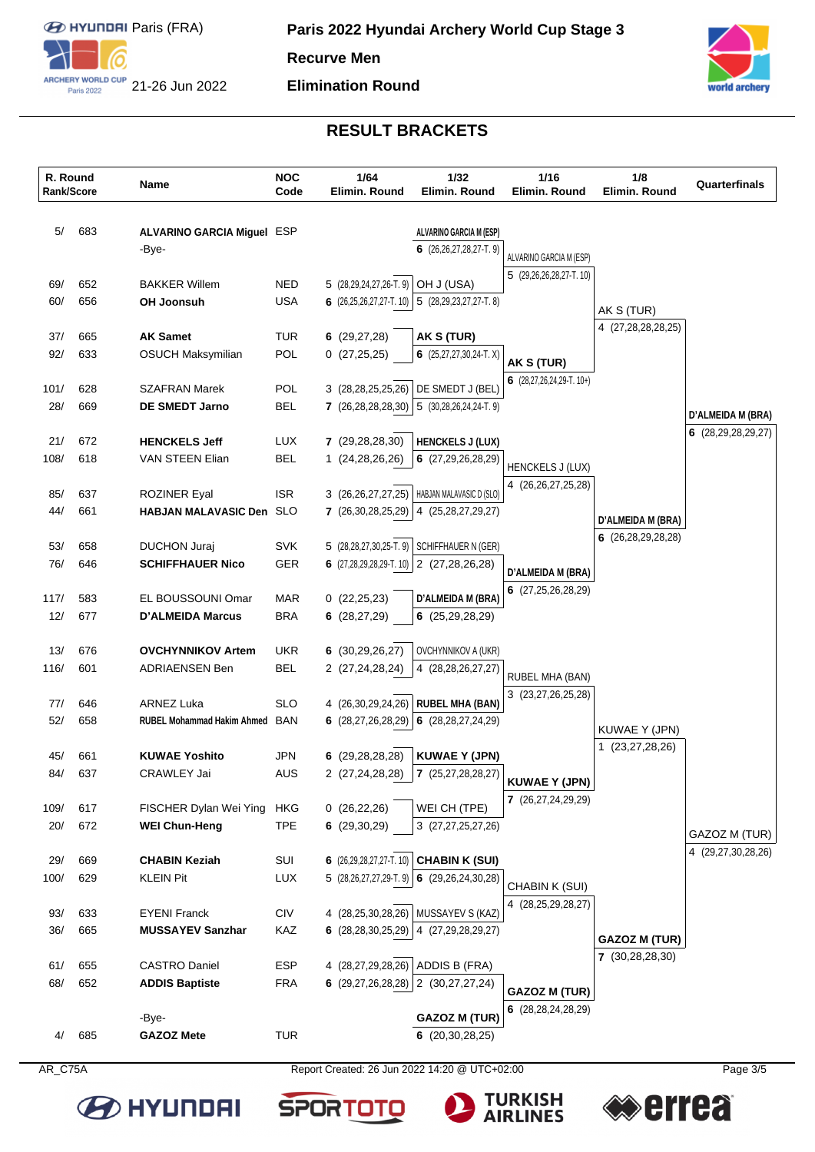

#### **Elimination Round**



# **RESULT BRACKETS**

| R. Round<br>Rank/Score |     | Name                                       | <b>NOC</b><br>Code | 1/64<br>Elimin. Round                              | 1/32<br>Elimin. Round                                     | 1/16<br>Elimin. Round                            | 1/8<br>Elimin. Round                          | Quarterfinals                                  |
|------------------------|-----|--------------------------------------------|--------------------|----------------------------------------------------|-----------------------------------------------------------|--------------------------------------------------|-----------------------------------------------|------------------------------------------------|
| 5/                     | 683 | <b>ALVARINO GARCIA Miguel ESP</b><br>-Bye- |                    |                                                    | ALVARINO GARCIA M (ESP)<br>6 $(26, 26, 27, 28, 27$ -T. 9) | ALVARINO GARCIA M (ESP)                          |                                               |                                                |
| 69/                    | 652 | <b>BAKKER Willem</b>                       | <b>NED</b>         | 5 (28,29,24,27,26-T.9)                             | OH J (USA)                                                | 5 (29,26,26,28,27-T. 10)                         |                                               |                                                |
| 60/                    | 656 | OH Joonsuh                                 | <b>USA</b>         |                                                    | 6 $(26,25,26,27,27$ -T. 10) 5 $(28,29,23,27,27$ -T. 8)    |                                                  | AK S (TUR)                                    |                                                |
| 37/                    | 665 | <b>AK Samet</b>                            | <b>TUR</b>         | 6(29, 27, 28)                                      | AK S (TUR)                                                |                                                  | 4 (27,28,28,28,25)                            |                                                |
| 92/                    | 633 | <b>OSUCH Maksymilian</b>                   | POL                | 0(27,25,25)                                        | 6 $(25, 27, 27, 30, 24$ -T. X)                            | AK S (TUR)<br>6 $(28, 27, 26, 24, 29 - T, 10+)$  |                                               |                                                |
| 101/                   | 628 | <b>SZAFRAN Marek</b>                       | <b>POL</b>         | 3 (28,28,25,25,26)                                 | DE SMEDT J (BEL)                                          |                                                  |                                               |                                                |
| 28/                    | 669 | <b>DE SMEDT Jarno</b>                      | <b>BEL</b>         | 7(26, 28, 28, 28, 30)                              | $5$ (30,28,26,24,24-T.9)                                  |                                                  |                                               | <b>D'ALMEIDA M (BRA)</b><br>6 (28,29,28,29,27) |
| 21/                    | 672 | <b>HENCKELS Jeff</b>                       | <b>LUX</b>         | 7(29, 28, 28, 30)                                  | <b>HENCKELS J (LUX)</b>                                   |                                                  |                                               |                                                |
| 108/                   | 618 | <b>VAN STEEN Elian</b>                     | <b>BEL</b>         | 1 (24,28,26,26)                                    | 6(27, 29, 26, 28, 29)                                     | <b>HENCKELS J (LUX)</b><br>4 (26,26,27,25,28)    |                                               |                                                |
| 85/                    | 637 | <b>ROZINER Eyal</b>                        | <b>ISR</b>         | 3 (26,26,27,27,25)                                 | HABJAN MALAVASIC D (SLO)                                  |                                                  |                                               |                                                |
| 44/                    | 661 | HABJAN MALAVASIC Den SLO                   |                    | 7 (26,30,28,25,29)                                 | 4 (25,28,27,29,27)                                        |                                                  | D'ALMEIDA M (BRA)<br>6 $(26, 28, 29, 28, 28)$ |                                                |
| 53/                    | 658 | <b>DUCHON Juraj</b>                        | <b>SVK</b>         | 5 (28,28,27,30,25-T.9)                             | SCHIFFHAUER N (GER)                                       |                                                  |                                               |                                                |
| 76/                    | 646 | <b>SCHIFFHAUER Nico</b>                    | GER                | 6 $(27,28,29,28,29 \cdot T. 10)$ 2 $(27,28,26,28)$ |                                                           | D'ALMEIDA M (BRA)<br>6 (27,25,26,28,29)          |                                               |                                                |
| 117/                   | 583 | EL BOUSSOUNI Omar                          | MAR                | 0(22,25,23)                                        | <b>D'ALMEIDA M (BRA)</b>                                  |                                                  |                                               |                                                |
| 12/                    | 677 | <b>D'ALMEIDA Marcus</b>                    | <b>BRA</b>         | 6(28, 27, 29)                                      | 6(25,29,28,29)                                            |                                                  |                                               |                                                |
| 13/                    | 676 | <b>OVCHYNNIKOV Artem</b>                   | UKR.               | 6(30, 29, 26, 27)                                  | OVCHYNNIKOV A (UKR)                                       |                                                  |                                               |                                                |
| 116/                   | 601 | <b>ADRIAENSEN Ben</b>                      | <b>BEL</b>         | 2 (27,24,28,24)                                    | 4 (28,28,26,27,27)                                        | RUBEL MHA (BAN)<br>3 (23,27,26,25,28)            |                                               |                                                |
| 77/                    | 646 | <b>ARNEZ Luka</b>                          | <b>SLO</b>         | 4 (26,30,29,24,26)                                 | <b>RUBEL MHA (BAN)</b>                                    |                                                  |                                               |                                                |
| 52/                    | 658 | <b>RUBEL Mohammad Hakim Ahmed BAN</b>      |                    | 6 $(28, 27, 26, 28, 29)$                           | 6 $(28, 28, 27, 24, 29)$                                  |                                                  | KUWAE Y (JPN)<br>1 (23,27,28,26)              |                                                |
| 45/                    | 661 | <b>KUWAE Yoshito</b>                       | JPN                | 6(29, 28, 28, 28)                                  | <b>KUWAE Y (JPN)</b>                                      |                                                  |                                               |                                                |
| 84/                    | 637 | <b>CRAWLEY Jai</b>                         | <b>AUS</b>         | 2 (27,24,28,28)                                    | 7(25,27,28,28,27)                                         | <b>KUWAE Y (JPN)</b><br>7 (26,27,24,29,29)       |                                               |                                                |
| 109/                   | 617 | FISCHER Dylan Wei Ying                     | <b>HKG</b>         | 0(26, 22, 26)                                      | WEI CH (TPE)                                              |                                                  |                                               |                                                |
| 20/                    | 672 | <b>WEI Chun-Heng</b>                       | <b>TPE</b>         | 6(29,30,29)                                        | 3 (27,27,25,27,26)                                        |                                                  |                                               | GAZOZ M (TUR)<br>4 (29,27,30,28,26)            |
| 29/                    | 669 | <b>CHABIN Keziah</b>                       | SUI                | 6 (26,29,28,27,27-T. 10) CHABIN K (SUI)            |                                                           |                                                  |                                               |                                                |
| 100/                   | 629 | <b>KLEIN Pit</b>                           | <b>LUX</b>         | 5 (28,26,27,27,29 T. 9)                            | 6 $(29, 26, 24, 30, 28)$                                  | CHABIN K (SUI)<br>4 (28,25,29,28,27)             |                                               |                                                |
| 93/                    | 633 | <b>EYENI Franck</b>                        | <b>CIV</b>         | 4 (28,25,30,28,26)                                 | MUSSAYEV S (KAZ)                                          |                                                  |                                               |                                                |
| 36/                    | 665 | <b>MUSSAYEV Sanzhar</b>                    | KAZ                | 6 $(28, 28, 30, 25, 29)$                           | 4 (27,29,28,29,27)                                        |                                                  | <b>GAZOZ M (TUR)</b><br>7 (30,28,28,30)       |                                                |
| 61/                    | 655 | <b>CASTRO Daniel</b>                       | <b>ESP</b>         | 4 (28,27,29,28,26)                                 | ADDIS B (FRA)                                             |                                                  |                                               |                                                |
| 68/                    | 652 | <b>ADDIS Baptiste</b>                      | <b>FRA</b>         | 6 $(29,27,26,28,28)$ 2 $(30,27,27,24)$             |                                                           | <b>GAZOZ M (TUR)</b><br>6 $(28, 28, 24, 28, 29)$ |                                               |                                                |
| 4/                     | 685 | -Bye-<br><b>GAZOZ Mete</b>                 | <b>TUR</b>         |                                                    | <b>GAZOZ M (TUR)</b><br>6(20,30,28,25)                    |                                                  |                                               |                                                |





**errea** 

**BE HYLINDAI** 



**TURKISH<br>AIRLINES**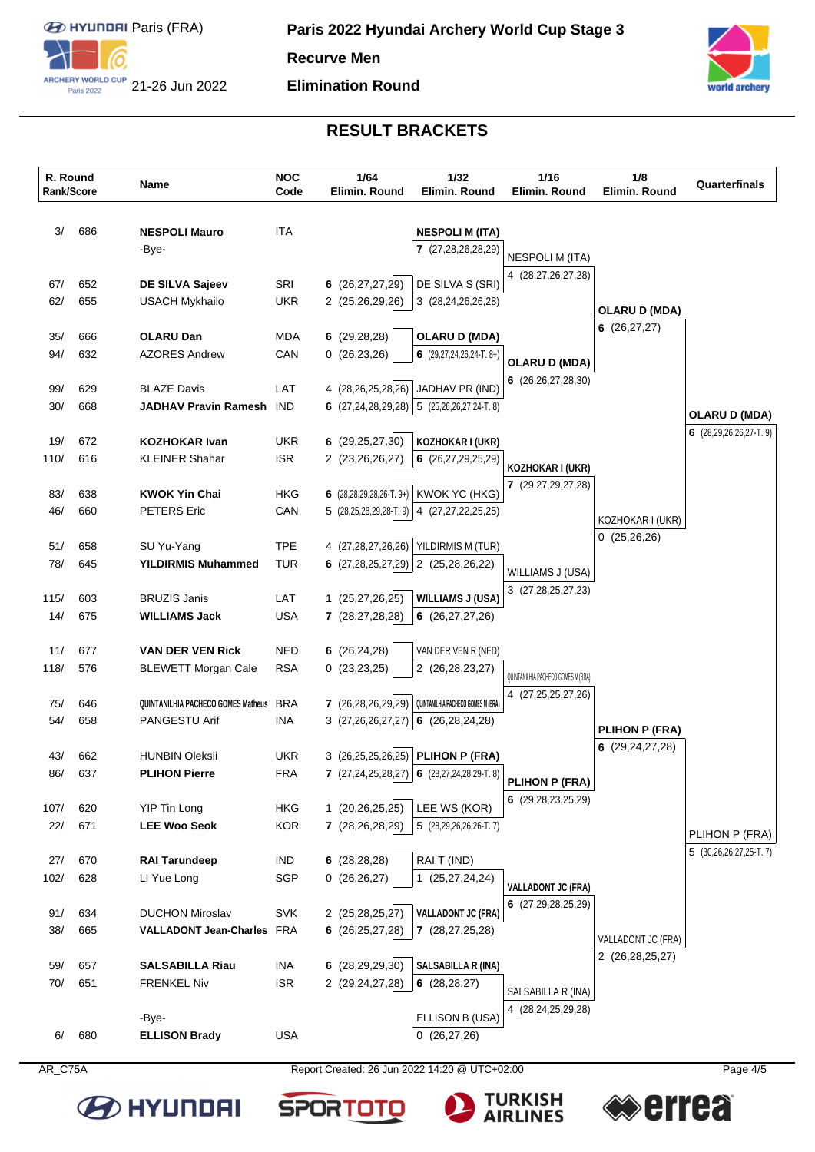

#### **Elimination Round**



# **RESULT BRACKETS**

|             | R. Round<br><b>Rank/Score</b> | Name                                                 | <b>NOC</b><br>Code | 1/64<br>Elimin. Round                  | 1/32<br>Elimin. Round                                  | 1/16<br>Elimin. Round                    | 1/8<br>Elimin, Round                | Quarterfinals                              |
|-------------|-------------------------------|------------------------------------------------------|--------------------|----------------------------------------|--------------------------------------------------------|------------------------------------------|-------------------------------------|--------------------------------------------|
| 3/          | 686                           | <b>NESPOLI Mauro</b>                                 | <b>ITA</b>         |                                        | <b>NESPOLI M (ITA)</b>                                 |                                          |                                     |                                            |
|             |                               | -Bye-                                                |                    |                                        | 7 (27,28,26,28,29)                                     |                                          |                                     |                                            |
|             |                               |                                                      |                    |                                        |                                                        | <b>NESPOLI M (ITA)</b>                   |                                     |                                            |
| 67/         | 652                           | DE SILVA Sajeev                                      | SRI                | 6 (26,27,27,29)                        | DE SILVA S (SRI)                                       | 4 (28,27,26,27,28)                       |                                     |                                            |
| 62/         | 655                           | <b>USACH Mykhailo</b>                                | <b>UKR</b>         | 2 (25,26,29,26)                        | 3 (28,24,26,26,28)                                     |                                          |                                     |                                            |
|             |                               |                                                      |                    |                                        |                                                        |                                          | <b>OLARU D (MDA)</b><br>6(26,27,27) |                                            |
| 35/         | 666                           | <b>OLARU Dan</b>                                     | <b>MDA</b>         | 6(29, 28, 28)                          | <b>OLARU D (MDA)</b>                                   |                                          |                                     |                                            |
| 94/         | 632                           | <b>AZORES Andrew</b>                                 | CAN                | 0(26, 23, 26)                          | 6 $(29, 27, 24, 26, 24 - T, 8+)$                       | <b>OLARU D (MDA)</b>                     |                                     |                                            |
|             |                               |                                                      |                    |                                        |                                                        | 6(26, 26, 27, 28, 30)                    |                                     |                                            |
| 99/         | 629                           | <b>BLAZE Davis</b>                                   | LAT                | 4 (28,26,25,28,26)                     | JADHAV PR (IND)                                        |                                          |                                     |                                            |
| 30/         | 668                           | <b>JADHAV Pravin Ramesh</b> IND                      |                    |                                        | 6 $(27, 24, 28, 29, 28)$ 5 $(25, 26, 26, 27, 24$ T. 8) |                                          |                                     | <b>OLARU D (MDA)</b>                       |
| 19/         | 672                           | <b>KOZHOKAR Ivan</b>                                 | <b>UKR</b>         | 6 $(29, 25, 27, 30)$                   | KOZHOKAR I (UKR)                                       |                                          |                                     | 6 $(28, 29, 26, 26, 27 - T. 9)$            |
| 110/        | 616                           | <b>KLEINER Shahar</b>                                | <b>ISR</b>         | 2 (23,26,26,27)                        | 6 $(26, 27, 29, 25, 29)$                               |                                          |                                     |                                            |
|             |                               |                                                      |                    |                                        |                                                        | KOZHOKAR I (UKR)                         |                                     |                                            |
| 83/         | 638                           | <b>KWOK Yin Chai</b>                                 | HKG                | 6 (28,28,29,28,26-T. 9+) KWOK YC (HKG) |                                                        | 7 (29,27,29,27,28)                       |                                     |                                            |
| 46/         | 660                           | <b>PETERS</b> Eric                                   | CAN                | 5 (28,25,28,29,28 T. 9)                | 4 (27,27,22,25,25)                                     |                                          | KOZHOKAR I (UKR)                    |                                            |
|             |                               |                                                      |                    |                                        |                                                        |                                          | 0(25,26,26)                         |                                            |
| 51/         | 658                           | SU Yu-Yang                                           | <b>TPE</b>         | 4 (27,28,27,26,26)                     | YILDIRMIS M (TUR)                                      |                                          |                                     |                                            |
| 78/         | 645                           | <b>YILDIRMIS Muhammed</b>                            | <b>TUR</b>         | 6 $(27, 28, 25, 27, 29)$               | 2 (25,28,26,22)                                        | WILLIAMS J (USA)                         |                                     |                                            |
|             |                               |                                                      |                    |                                        |                                                        | 3 (27,28,25,27,23)                       |                                     |                                            |
| 115/<br>14/ | 603<br>675                    | <b>BRUZIS Janis</b><br><b>WILLIAMS Jack</b>          | LAT<br><b>USA</b>  | 1 (25,27,26,25)<br>7 (28,27,28,28)     | <b>WILLIAMS J (USA)</b><br>6(26, 27, 27, 26)           |                                          |                                     |                                            |
|             |                               |                                                      |                    |                                        |                                                        |                                          |                                     |                                            |
| 11/         | 677                           | <b>VAN DER VEN Rick</b>                              | <b>NED</b>         | 6(26,24,28)                            | VAN DER VEN R (NED)                                    |                                          |                                     |                                            |
| 118/        | 576                           | <b>BLEWETT Morgan Cale</b>                           | <b>RSA</b>         | 0(23,23,25)                            | 2 (26,28,23,27)                                        | QUINTANILHIA PACHECO GOMES M (BRA)       |                                     |                                            |
|             |                               |                                                      |                    |                                        |                                                        | 4 (27,25,25,27,26)                       |                                     |                                            |
| 75/         | 646                           | QUINTANILHIA PACHECO GOMES Matheus BRA               |                    | 7 (26,28,26,29,29)                     | QUINTANILHIA PACHECO GOMES M (BRA)                     |                                          |                                     |                                            |
| 54/         | 658                           | PANGESTU Arif                                        | <b>INA</b>         | 3(27,26,26,27,27)                      | 6(26, 28, 24, 28)                                      |                                          | <b>PLIHON P (FRA)</b>               |                                            |
| 43/         | 662                           | <b>HUNBIN Oleksii</b>                                | <b>UKR</b>         | 3 (26,25,25,26,25)                     | <b>PLIHON P (FRA)</b>                                  |                                          | 6(29,24,27,28)                      |                                            |
| 86/         | 637                           | <b>PLIHON Pierre</b>                                 | <b>FRA</b>         |                                        | 7 $(27,24,25,28,27)$ 6 $(28,27,24,28,29)$ T. 8)        |                                          |                                     |                                            |
|             |                               |                                                      |                    |                                        |                                                        | PLIHON P (FRA)                           |                                     |                                            |
| 107/        | 620                           | <b>YIP Tin Long</b>                                  | <b>HKG</b>         | 1 (20,26,25,25)                        | LEE WS (KOR)                                           | 6(29, 28, 23, 25, 29)                    |                                     |                                            |
| 22/         | 671                           | <b>LEE Woo Seok</b>                                  | <b>KOR</b>         | 7 (28,26,28,29)                        | 5 (28,29,26,26,26-T.7)                                 |                                          |                                     |                                            |
|             |                               |                                                      |                    |                                        |                                                        |                                          |                                     | PLIHON P (FRA)<br>$5$ (30,26,26,27,25-T.7) |
| 27/         | 670                           | <b>RAI Tarundeep</b>                                 | IND                | 6(28, 28, 28)                          | RAIT (IND)                                             |                                          |                                     |                                            |
| 102/        | 628                           | LI Yue Long                                          | SGP                | 0(26,26,27)                            | 1 (25,27,24,24)                                        | <b>VALLADONT JC (FRA)</b>                |                                     |                                            |
|             |                               |                                                      |                    |                                        |                                                        | 6 (27,29,28,25,29)                       |                                     |                                            |
| 91/<br>38/  | 634<br>665                    | <b>DUCHON Miroslav</b><br>VALLADONT Jean-Charles FRA | <b>SVK</b>         | 2 (25,28,25,27)<br>6(26,25,27,28)      | <b>VALLADONT JC (FRA)</b><br>7(28, 27, 25, 28)         |                                          |                                     |                                            |
|             |                               |                                                      |                    |                                        |                                                        |                                          | VALLADONT JC (FRA)                  |                                            |
| 59/         | 657                           | <b>SALSABILLA Riau</b>                               | <b>INA</b>         | 6 (28,29,29,30)                        | <b>SALSABILLA R (INA)</b>                              |                                          | 2 (26,28,25,27)                     |                                            |
| 70/         | 651                           | <b>FRENKEL Niv</b>                                   | <b>ISR</b>         | 2 (29,24,27,28)                        | 6 $(28, 28, 27)$                                       |                                          |                                     |                                            |
|             |                               |                                                      |                    |                                        |                                                        | SALSABILLA R (INA)<br>4 (28,24,25,29,28) |                                     |                                            |
|             |                               | -Bye-                                                |                    |                                        | ELLISON B (USA)                                        |                                          |                                     |                                            |
| 6/          | 680                           | <b>ELLISON Brady</b>                                 | <b>USA</b>         |                                        | 0(26,27,26)                                            |                                          |                                     |                                            |
|             |                               |                                                      |                    |                                        |                                                        |                                          |                                     |                                            |



**BE HYLINDAI** 

AR\_C75A Report Created: 26 Jun 2022 14:20 @ UTC+02:00

**SPORTO** 

**TURKISH<br>AIRLINES**